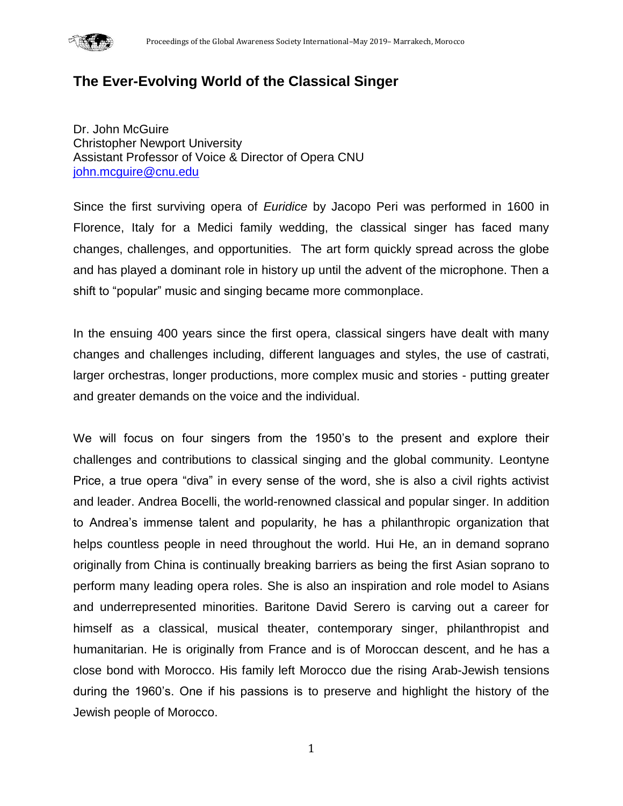

# **The Ever-Evolving World of the Classical Singer**

Dr. John McGuire Christopher Newport University Assistant Professor of Voice & Director of Opera CNU [john.mcguire@cnu.edu](mailto:john.mcguire@cnu.edu)

Since the first surviving opera of *Euridice* by Jacopo Peri was performed in 1600 in Florence, Italy for a Medici family wedding, the classical singer has faced many changes, challenges, and opportunities. The art form quickly spread across the globe and has played a dominant role in history up until the advent of the microphone. Then a shift to "popular" music and singing became more commonplace.

In the ensuing 400 years since the first opera, classical singers have dealt with many changes and challenges including, different languages and styles, the use of castrati, larger orchestras, longer productions, more complex music and stories - putting greater and greater demands on the voice and the individual.

We will focus on four singers from the 1950's to the present and explore their challenges and contributions to classical singing and the global community. Leontyne Price, a true opera "diva" in every sense of the word, she is also a civil rights activist and leader. Andrea Bocelli, the world-renowned classical and popular singer. In addition to Andrea's immense talent and popularity, he has a philanthropic organization that helps countless people in need throughout the world. Hui He, an in demand soprano originally from China is continually breaking barriers as being the first Asian soprano to perform many leading opera roles. She is also an inspiration and role model to Asians and underrepresented minorities. Baritone David Serero is carving out a career for himself as a classical, musical theater, contemporary singer, philanthropist and humanitarian. He is originally from France and is of Moroccan descent, and he has a close bond with Morocco. His family left Morocco due the rising Arab-Jewish tensions during the 1960's. One if his passions is to preserve and highlight the history of the Jewish people of Morocco.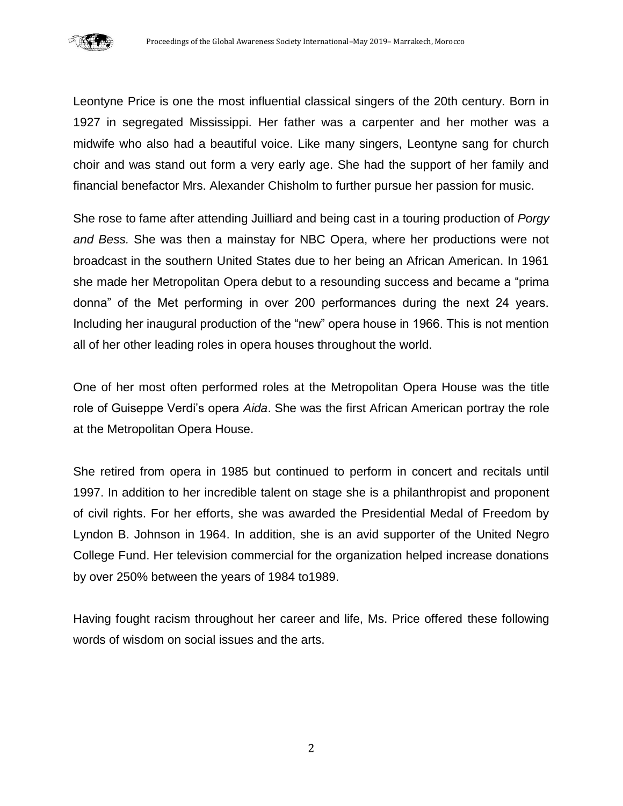

Leontyne Price is one the most influential classical singers of the 20th century. Born in 1927 in segregated Mississippi. Her father was a carpenter and her mother was a midwife who also had a beautiful voice. Like many singers, Leontyne sang for church choir and was stand out form a very early age. She had the support of her family and financial benefactor Mrs. Alexander Chisholm to further pursue her passion for music.

She rose to fame after attending Juilliard and being cast in a touring production of *Porgy and Bess.* She was then a mainstay for NBC Opera, where her productions were not broadcast in the southern United States due to her being an African American. In 1961 she made her Metropolitan Opera debut to a resounding success and became a "prima donna" of the Met performing in over 200 performances during the next 24 years. Including her inaugural production of the "new" opera house in 1966. This is not mention all of her other leading roles in opera houses throughout the world.

One of her most often performed roles at the Metropolitan Opera House was the title role of Guiseppe Verdi's opera *Aida*. She was the first African American portray the role at the Metropolitan Opera House.

She retired from opera in 1985 but continued to perform in concert and recitals until 1997. In addition to her incredible talent on stage she is a philanthropist and proponent of civil rights. For her efforts, she was awarded the Presidential Medal of Freedom by Lyndon B. Johnson in 1964. In addition, she is an avid supporter of the United Negro College Fund. Her television commercial for the organization helped increase donations by over 250% between the years of 1984 to1989.

Having fought racism throughout her career and life, Ms. Price offered these following words of wisdom on social issues and the arts.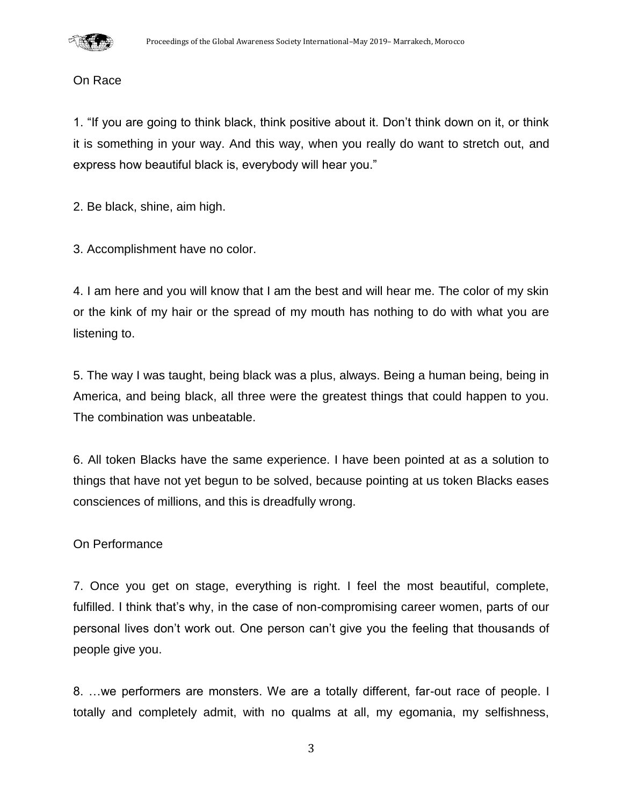

#### On Race

1. "If you are going to think black, think positive about it. Don't think down on it, or think it is something in your way. And this way, when you really do want to stretch out, and express how beautiful black is, everybody will hear you."

2. Be black, shine, aim high.

3. Accomplishment have no color.

4. I am here and you will know that I am the best and will hear me. The color of my skin or the kink of my hair or the spread of my mouth has nothing to do with what you are listening to.

5. The way I was taught, being black was a plus, always. Being a human being, being in America, and being black, all three were the greatest things that could happen to you. The combination was unbeatable.

6. All token Blacks have the same experience. I have been pointed at as a solution to things that have not yet begun to be solved, because pointing at us token Blacks eases consciences of millions, and this is dreadfully wrong.

#### On Performance

7. Once you get on stage, everything is right. I feel the most beautiful, complete, fulfilled. I think that's why, in the case of non-compromising career women, parts of our personal lives don't work out. One person can't give you the feeling that thousands of people give you.

8. …we performers are monsters. We are a totally different, far-out race of people. I totally and completely admit, with no qualms at all, my egomania, my selfishness,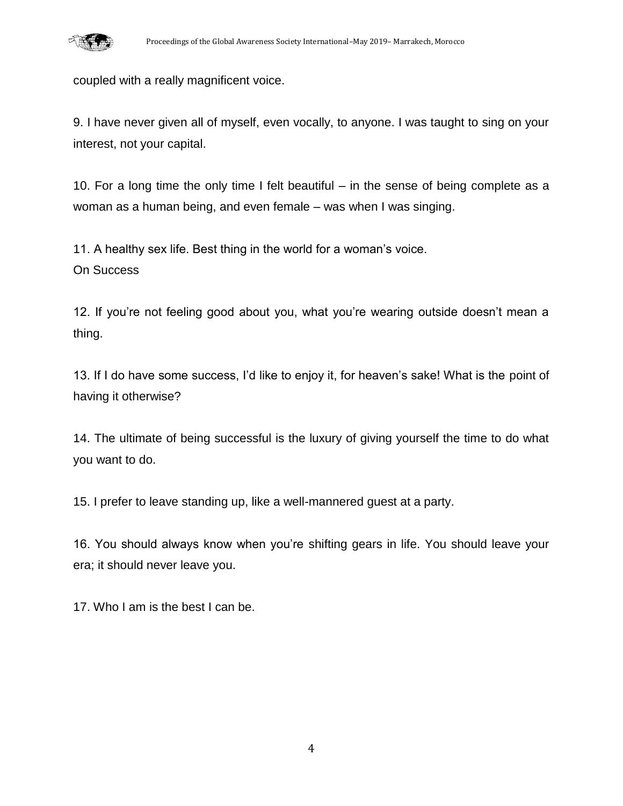

coupled with a really magnificent voice.

9. I have never given all of myself, even vocally, to anyone. I was taught to sing on your interest, not your capital.

10. For a long time the only time I felt beautiful – in the sense of being complete as a woman as a human being, and even female – was when I was singing.

11. A healthy sex life. Best thing in the world for a woman's voice. On Success

12. If you're not feeling good about you, what you're wearing outside doesn't mean a thing.

13. If I do have some success, I'd like to enjoy it, for heaven's sake! What is the point of having it otherwise?

14. The ultimate of being successful is the luxury of giving yourself the time to do what you want to do.

15. I prefer to leave standing up, like a well-mannered guest at a party.

16. You should always know when you're shifting gears in life. You should leave your era; it should never leave you.

17. Who I am is the best I can be.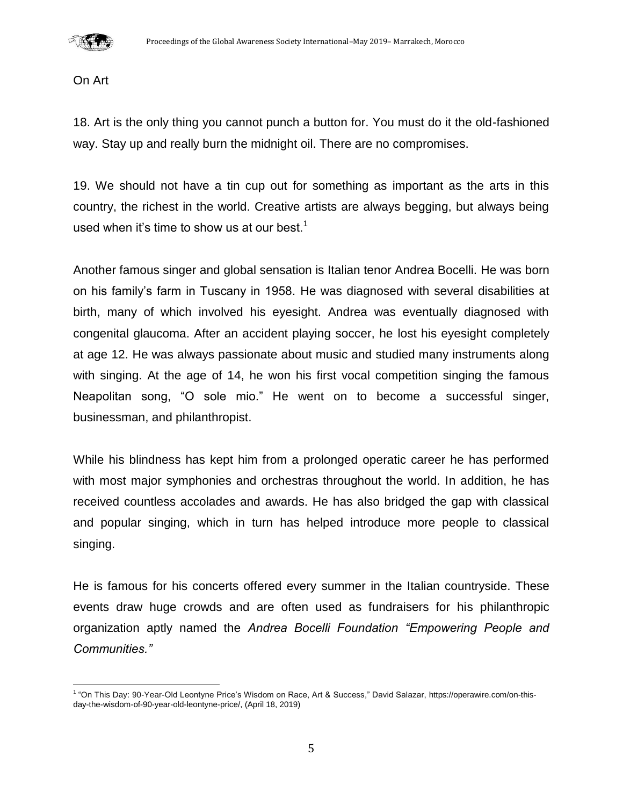

On Art

18. Art is the only thing you cannot punch a button for. You must do it the old-fashioned way. Stay up and really burn the midnight oil. There are no compromises.

19. We should not have a tin cup out for something as important as the arts in this country, the richest in the world. Creative artists are always begging, but always being used when it's time to show us at our best.<sup>1</sup>

Another famous singer and global sensation is Italian tenor Andrea Bocelli. He was born on his family's farm in Tuscany in 1958. He was diagnosed with several disabilities at birth, many of which involved his eyesight. Andrea was eventually diagnosed with congenital glaucoma. After an accident playing soccer, he lost his eyesight completely at age 12. He was always passionate about music and studied many instruments along with singing. At the age of 14, he won his first vocal competition singing the famous Neapolitan song, "O sole mio." He went on to become a successful singer, businessman, and philanthropist.

While his blindness has kept him from a prolonged operatic career he has performed with most major symphonies and orchestras throughout the world. In addition, he has received countless accolades and awards. He has also bridged the gap with classical and popular singing, which in turn has helped introduce more people to classical singing.

He is famous for his concerts offered every summer in the Italian countryside. These events draw huge crowds and are often used as fundraisers for his philanthropic organization aptly named the *Andrea Bocelli Foundation "Empowering People and Communities."*

 1 "On This Day: 90-Year-Old Leontyne Price's Wisdom on Race, Art & Success," David Salazar, [https://operawire.com/on-this](https://operawire.com/on-this-day-the-wisdom-of-90-year-old-leontyne-price/)[day-the-wisdom-of-90-year-old-leontyne-price/,](https://operawire.com/on-this-day-the-wisdom-of-90-year-old-leontyne-price/) (April 18, 2019)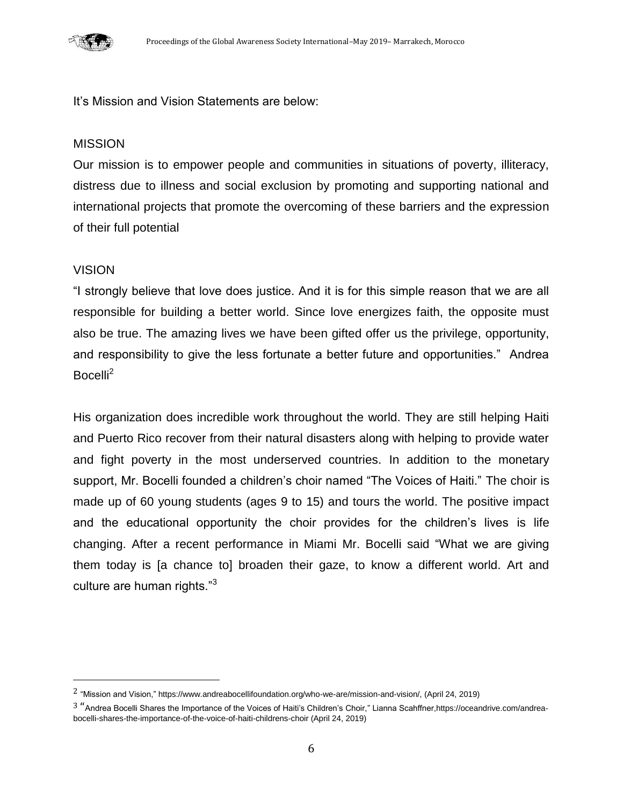

It's Mission and Vision Statements are below:

### MISSION

Our mission is to empower people and communities in situations of poverty, illiteracy, distress due to illness and social exclusion by promoting and supporting national and international projects that promote the overcoming of these barriers and the expression of their full potential

## **VISION**

 $\overline{\phantom{a}}$ 

"I strongly believe that love does justice. And it is for this simple reason that we are all responsible for building a better world. Since love energizes faith, the opposite must also be true. The amazing lives we have been gifted offer us the privilege, opportunity, and responsibility to give the less fortunate a better future and opportunities." Andrea Bocelli<sup>2</sup>

His organization does incredible work throughout the world. They are still helping Haiti and Puerto Rico recover from their natural disasters along with helping to provide water and fight poverty in the most underserved countries. In addition to the monetary support, Mr. Bocelli founded a children's choir named "The Voices of Haiti." The choir is made up of 60 young students (ages 9 to 15) and tours the world. The positive impact and the educational opportunity the choir provides for the children's lives is life changing. After a recent performance in Miami Mr. Bocelli said "What we are giving them today is [a chance to] broaden their gaze, to know a different world. Art and culture are human rights."<sup>3</sup>

<sup>2</sup> "Mission and Vision,[" https://www.andreabocellifoundation.org/who-we-are/mission-and-vision/,](https://www.andreabocellifoundation.org/who-we-are/mission-and-vision/) (April 24, 2019)

<sup>3</sup> "Andrea Bocelli Shares the Importance of the Voices of Haiti's Children's Choir," Lianna Scahffne[r,https://oceandrive.com/andrea](https://oceandrive.com/andrea-bocelli-shares-the-importance-of-the-voice-of-haiti-childrens-choir)[bocelli-shares-the-importance-of-the-voice-of-haiti-childrens-choir](https://oceandrive.com/andrea-bocelli-shares-the-importance-of-the-voice-of-haiti-childrens-choir) (April 24, 2019)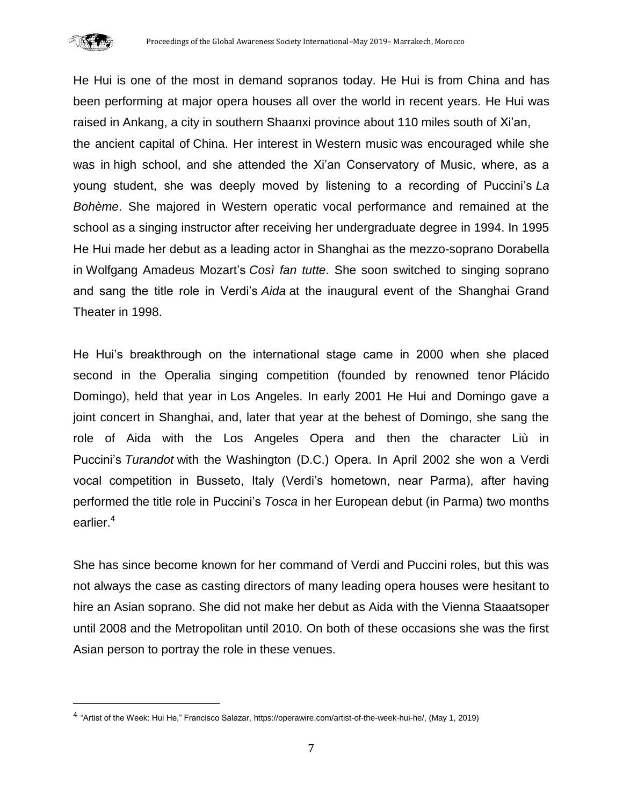

 $\overline{\phantom{a}}$ 

He Hui is one of the most in demand sopranos today. He Hui is from China and has been performing at major opera houses all over the world in recent years. He Hui was raised in [Ankang,](https://www.britannica.com/place/Ankang) a city in southern [Shaanxi](https://www.britannica.com/place/Shaanxi) province about 110 miles south of [Xi'an,](https://www.britannica.com/place/Xian-China) the ancient capital of [China.](https://www.britannica.com/place/China) Her interest in [Western music](https://www.britannica.com/art/Western-music) was encouraged while she was in [high school,](https://www.britannica.com/topic/high-school) and she attended the Xi'an Conservatory of Music, where, as a young student, she was deeply moved by listening to a recording of Puccini's *La Bohème*. She majored in Western operatic vocal performance and remained at the school as a [singing](https://www.britannica.com/art/singing) instructor after receiving her undergraduate degree in 1994. In 1995 He Hui made her debut as a leading actor in [Shanghai](https://www.britannica.com/place/Shanghai) as the mezzo-soprano Dorabella in [Wolfgang Amadeus Mozart'](https://www.britannica.com/biography/Wolfgang-Amadeus-Mozart)s *Così fan tutte*. She soon switched to singing soprano and sang the title role in Verdi's *Aida* at the inaugural event of the Shanghai Grand Theater in 1998.

He Hui's breakthrough on the international stage came in 2000 when she placed second in the Operalia singing competition (founded by renowned tenor [Plácido](https://www.britannica.com/biography/Placido-Domingo)  [Domingo\)](https://www.britannica.com/biography/Placido-Domingo), held that year in [Los Angeles.](https://www.britannica.com/place/Los-Angeles-California) In early 2001 He Hui and Domingo gave a joint concert in Shanghai, and, later that year at the behest of Domingo, she sang the role of Aida with the Los Angeles Opera and then the character Liù in Puccini's *Turandot* with the Washington (D.C.) Opera. In April 2002 she won a Verdi vocal competition in Busseto, Italy (Verdi's hometown, near Parma), after having performed the title role in Puccini's *Tosca* in her European debut (in Parma) two months earlier.<sup>4</sup>

She has since become known for her command of Verdi and Puccini roles, but this was not always the case as casting directors of many leading opera houses were hesitant to hire an Asian soprano. She did not make her debut as Aida with the Vienna Staaatsoper until 2008 and the Metropolitan until 2010. On both of these occasions she was the first Asian person to portray the role in these venues.

<sup>4</sup> "Artist of the Week: Hui He," Francisco Salazar[, https://operawire.com/artist-of-the-week-hui-he/,](https://operawire.com/artist-of-the-week-hui-he/) (May 1, 2019)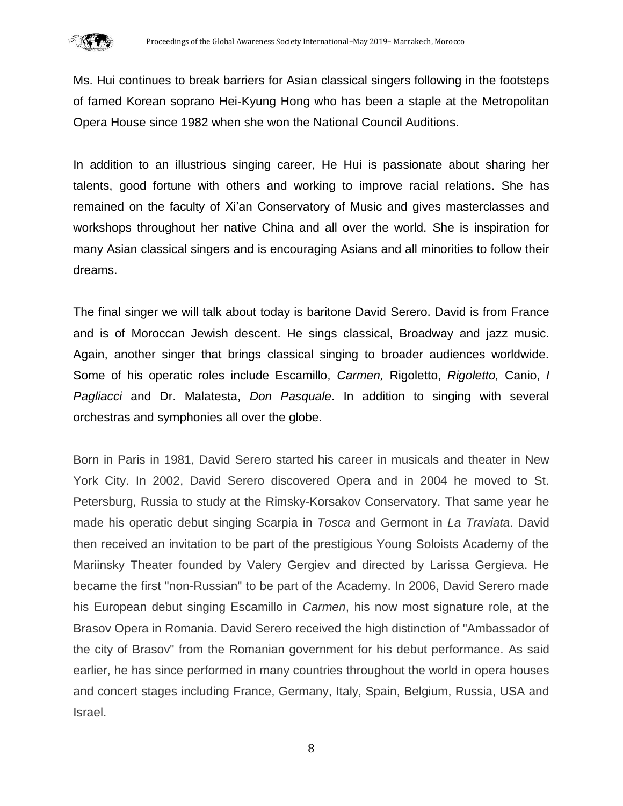

Ms. Hui continues to break barriers for Asian classical singers following in the footsteps of famed Korean soprano Hei-Kyung Hong who has been a staple at the Metropolitan Opera House since 1982 when she won the National Council Auditions.

In addition to an illustrious singing career, He Hui is passionate about sharing her talents, good fortune with others and working to improve racial relations. She has remained on the faculty of Xi'an Conservatory of Music and gives masterclasses and workshops throughout her native China and all over the world. She is inspiration for many Asian classical singers and is encouraging Asians and all minorities to follow their dreams.

The final singer we will talk about today is baritone David Serero. David is from France and is of Moroccan Jewish descent. He sings classical, Broadway and jazz music. Again, another singer that brings classical singing to broader audiences worldwide. Some of his operatic roles include Escamillo, *Carmen,* Rigoletto, *Rigoletto,* Canio, *I Pagliacci* and Dr. Malatesta, *Don Pasquale*. In addition to singing with several orchestras and symphonies all over the globe.

Born in Paris in 1981, David Serero started his career in musicals and theater in New York City. In 2002, David Serero discovered Opera and in 2004 he moved to St. Petersburg, Russia to study at the Rimsky-Korsakov Conservatory. That same year he made his operatic debut singing Scarpia in *Tosca* and Germont in *La Traviata*. David then received an invitation to be part of the prestigious Young Soloists Academy of the Mariinsky Theater founded by Valery Gergiev and directed by Larissa Gergieva. He became the first "non-Russian" to be part of the Academy. In 2006, David Serero made his European debut singing Escamillo in *Carmen*, his now most signature role, at the Brasov Opera in Romania. David Serero received the high distinction of "Ambassador of the city of Brasov" from the Romanian government for his debut performance. As said earlier, he has since performed in many countries throughout the world in opera houses and concert stages including France, Germany, Italy, Spain, Belgium, Russia, USA and Israel.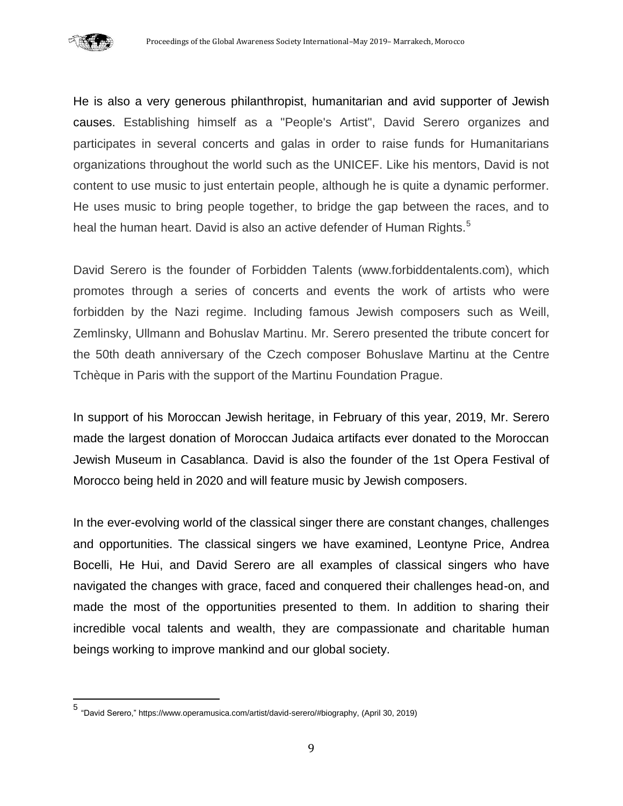

 $\overline{\phantom{a}}$ 

He is also a very generous philanthropist, humanitarian and avid supporter of Jewish causes. Establishing himself as a "People's Artist", David Serero organizes and participates in several concerts and galas in order to raise funds for Humanitarians organizations throughout the world such as the UNICEF. Like his mentors, David is not content to use music to just entertain people, although he is quite a dynamic performer. He uses music to bring people together, to bridge the gap between the races, and to heal the human heart. David is also an active defender of Human Rights.<sup>5</sup>

David Serero is the founder of Forbidden Talents (www.forbiddentalents.com), which promotes through a series of concerts and events the work of artists who were forbidden by the Nazi regime. Including famous Jewish composers such as Weill, Zemlinsky, Ullmann and Bohuslav Martinu. Mr. Serero presented the tribute concert for the 50th death anniversary of the Czech composer Bohuslave Martinu at the Centre Tchèque in Paris with the support of the Martinu Foundation Prague.

In support of his Moroccan Jewish heritage, in February of this year, 2019, Mr. Serero made the largest donation of Moroccan Judaica artifacts ever donated to the Moroccan Jewish Museum in Casablanca. David is also the founder of the 1st Opera Festival of Morocco being held in 2020 and will feature music by Jewish composers.

In the ever-evolving world of the classical singer there are constant changes, challenges and opportunities. The classical singers we have examined, Leontyne Price, Andrea Bocelli, He Hui, and David Serero are all examples of classical singers who have navigated the changes with grace, faced and conquered their challenges head-on, and made the most of the opportunities presented to them. In addition to sharing their incredible vocal talents and wealth, they are compassionate and charitable human beings working to improve mankind and our global society.

<sup>5</sup> "David Serero,[" https://www.operamusica.com/artist/david-serero/#biography,](https://www.operamusica.com/artist/david-serero/#biography) (April 30, 2019)